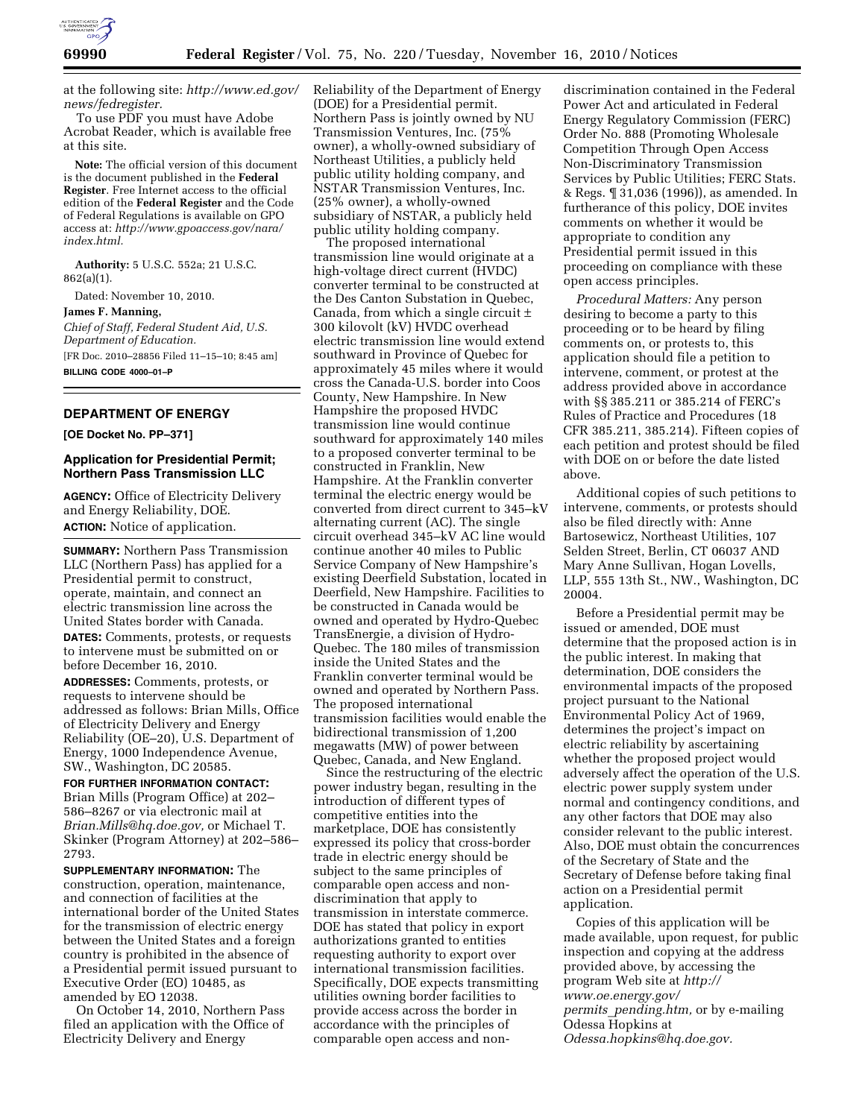

at the following site: *[http://www.ed.gov/](http://www.ed.gov/news/fedregister) [news/fedregister.](http://www.ed.gov/news/fedregister)* 

To use PDF you must have Adobe Acrobat Reader, which is available free at this site.

**Note:** The official version of this document is the document published in the **Federal Register**. Free Internet access to the official edition of the **Federal Register** and the Code of Federal Regulations is available on GPO access at: *[http://www.gpoaccess.gov/nara/](http://www.gpoaccess.gov/nara/index.html) [index.html.](http://www.gpoaccess.gov/nara/index.html)* 

**Authority:** 5 U.S.C. 552a; 21 U.S.C. 862(a)(1).

Dated: November 10, 2010.

**James F. Manning,** 

*Chief of Staff, Federal Student Aid, U.S. Department of Education.*  [FR Doc. 2010–28856 Filed 11–15–10; 8:45 am]

**BILLING CODE 4000–01–P** 

#### **DEPARTMENT OF ENERGY**

**[OE Docket No. PP–371]** 

#### **Application for Presidential Permit; Northern Pass Transmission LLC**

**AGENCY:** Office of Electricity Delivery and Energy Reliability, DOE. **ACTION:** Notice of application.

**SUMMARY:** Northern Pass Transmission LLC (Northern Pass) has applied for a Presidential permit to construct, operate, maintain, and connect an electric transmission line across the United States border with Canada.

**DATES:** Comments, protests, or requests to intervene must be submitted on or before December 16, 2010.

**ADDRESSES:** Comments, protests, or requests to intervene should be addressed as follows: Brian Mills, Office of Electricity Delivery and Energy Reliability (OE–20), U.S. Department of Energy, 1000 Independence Avenue, SW., Washington, DC 20585.

**FOR FURTHER INFORMATION CONTACT:**  Brian Mills (Program Office) at 202– 586–8267 or via electronic mail at *[Brian.Mills@hq.doe.gov,](mailto:Brian.Mills@hq.doe.gov)* or Michael T. Skinker (Program Attorney) at 202–586– 2793.

**SUPPLEMENTARY INFORMATION:** The construction, operation, maintenance, and connection of facilities at the international border of the United States for the transmission of electric energy between the United States and a foreign country is prohibited in the absence of a Presidential permit issued pursuant to Executive Order (EO) 10485, as amended by EO 12038.

On October 14, 2010, Northern Pass filed an application with the Office of Electricity Delivery and Energy

Reliability of the Department of Energy (DOE) for a Presidential permit. Northern Pass is jointly owned by NU Transmission Ventures, Inc. (75% owner), a wholly-owned subsidiary of Northeast Utilities, a publicly held public utility holding company, and NSTAR Transmission Ventures, Inc. (25% owner), a wholly-owned subsidiary of NSTAR, a publicly held public utility holding company.

The proposed international transmission line would originate at a high-voltage direct current (HVDC) converter terminal to be constructed at the Des Canton Substation in Quebec, Canada, from which a single circuit  $\pm$ 300 kilovolt (kV) HVDC overhead electric transmission line would extend southward in Province of Quebec for approximately 45 miles where it would cross the Canada-U.S. border into Coos County, New Hampshire. In New Hampshire the proposed HVDC transmission line would continue southward for approximately 140 miles to a proposed converter terminal to be constructed in Franklin, New Hampshire. At the Franklin converter terminal the electric energy would be converted from direct current to 345–kV alternating current (AC). The single circuit overhead 345–kV AC line would continue another 40 miles to Public Service Company of New Hampshire's existing Deerfield Substation, located in Deerfield, New Hampshire. Facilities to be constructed in Canada would be owned and operated by Hydro-Quebec TransEnergie, a division of Hydro-Quebec. The 180 miles of transmission inside the United States and the Franklin converter terminal would be owned and operated by Northern Pass. The proposed international transmission facilities would enable the bidirectional transmission of 1,200 megawatts (MW) of power between Quebec, Canada, and New England.

Since the restructuring of the electric power industry began, resulting in the introduction of different types of competitive entities into the marketplace, DOE has consistently expressed its policy that cross-border trade in electric energy should be subject to the same principles of comparable open access and nondiscrimination that apply to transmission in interstate commerce. DOE has stated that policy in export authorizations granted to entities requesting authority to export over international transmission facilities. Specifically, DOE expects transmitting utilities owning border facilities to provide access across the border in accordance with the principles of comparable open access and non-

discrimination contained in the Federal Power Act and articulated in Federal Energy Regulatory Commission (FERC) Order No. 888 (Promoting Wholesale Competition Through Open Access Non-Discriminatory Transmission Services by Public Utilities; FERC Stats. & Regs. ¶ 31,036 (1996)), as amended. In furtherance of this policy, DOE invites comments on whether it would be appropriate to condition any Presidential permit issued in this proceeding on compliance with these open access principles.

*Procedural Matters:* Any person desiring to become a party to this proceeding or to be heard by filing comments on, or protests to, this application should file a petition to intervene, comment, or protest at the address provided above in accordance with §§ 385.211 or 385.214 of FERC's Rules of Practice and Procedures (18 CFR 385.211, 385.214). Fifteen copies of each petition and protest should be filed with DOE on or before the date listed above.

Additional copies of such petitions to intervene, comments, or protests should also be filed directly with: Anne Bartosewicz, Northeast Utilities, 107 Selden Street, Berlin, CT 06037 AND Mary Anne Sullivan, Hogan Lovells, LLP, 555 13th St., NW., Washington, DC 20004.

Before a Presidential permit may be issued or amended, DOE must determine that the proposed action is in the public interest. In making that determination, DOE considers the environmental impacts of the proposed project pursuant to the National Environmental Policy Act of 1969, determines the project's impact on electric reliability by ascertaining whether the proposed project would adversely affect the operation of the U.S. electric power supply system under normal and contingency conditions, and any other factors that DOE may also consider relevant to the public interest. Also, DOE must obtain the concurrences of the Secretary of State and the Secretary of Defense before taking final action on a Presidential permit application.

Copies of this application will be made available, upon request, for public inspection and copying at the address provided above, by accessing the program Web site at *[http://](http://www.oe.energy.gov/permits_pending.htm) [www.oe.energy.gov/](http://www.oe.energy.gov/permits_pending.htm) permits*\_*[pending.htm,](http://www.oe.energy.gov/permits_pending.htm)* or by e-mailing Odessa Hopkins at *[Odessa.hopkins@hq.doe.gov.](mailto:Odessa.hopkins@hq.doe.gov)*